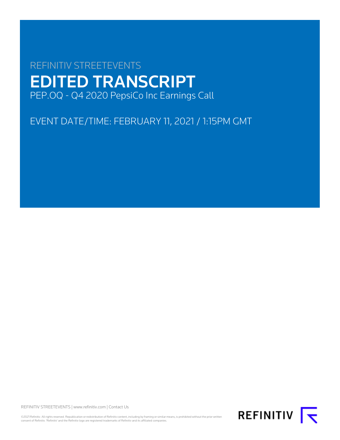# REFINITIV STREETEVENTS EDITED TRANSCRIPT PEP.OQ - Q4 2020 PepsiCo Inc Earnings Call

EVENT DATE/TIME: FEBRUARY 11, 2021 / 1:15PM GMT

REFINITIV STREETEVENTS | [www.refinitiv.com](https://www.refinitiv.com/) | [Contact Us](https://www.refinitiv.com/en/contact-us)

©2021 Refinitiv. All rights reserved. Republication or redistribution of Refinitiv content, including by framing or similar means, is prohibited without the prior written consent of Refinitiv. 'Refinitiv' and the Refinitiv logo are registered trademarks of Refinitiv and its affiliated companies.

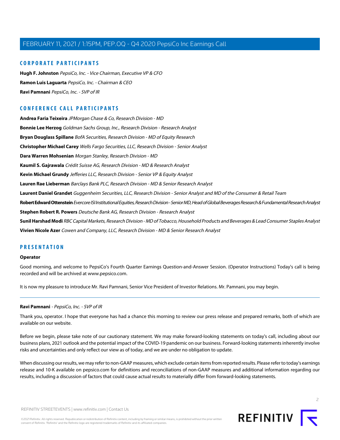# **CORPORATE PARTICIPANTS**

**[Hugh F. Johnston](#page-3-0)** PepsiCo, Inc. - Vice Chairman, Executive VP & CFO **[Ramon Luis Laguarta](#page-2-0)** PepsiCo, Inc. - Chairman & CEO **[Ravi Pamnani](#page-1-0)** PepsiCo, Inc. - SVP of IR

# **CONFERENCE CALL PARTICIPANTS**

**[Andrea Faria Teixeira](#page-3-1)** JPMorgan Chase & Co, Research Division - MD **[Bonnie Lee Herzog](#page-2-1)** Goldman Sachs Group, Inc., Research Division - Research Analyst **[Bryan Douglass Spillane](#page-5-0)** BofA Securities, Research Division - MD of Equity Research **[Christopher Michael Carey](#page-11-0)** Wells Fargo Securities, LLC, Research Division - Senior Analyst **[Dara Warren Mohsenian](#page-2-2)** Morgan Stanley, Research Division - MD **[Kaumil S. Gajrawala](#page-5-1)** Crédit Suisse AG, Research Division - MD & Research Analyst **[Kevin Michael Grundy](#page-8-0)** Jefferies LLC, Research Division - Senior VP & Equity Analyst **[Lauren Rae Lieberman](#page-7-0)** Barclays Bank PLC, Research Division - MD & Senior Research Analyst **[Laurent Daniel Grandet](#page-6-0)** Guggenheim Securities, LLC, Research Division - Senior Analyst and MD of the Consumer & Retail Team **[Robert Edward Ottenstein](#page-10-0)** Evercore ISI Institutional Equities, Research Division - Senior MD, Head of Global Beverages Research & Fundamental Research Analyst **[Stephen Robert R. Powers](#page-9-0)** Deutsche Bank AG, Research Division - Research Analyst **[Sunil Harshad Modi](#page-9-1)** RBC Capital Markets, Research Division - MD of Tobacco, Household Products and Beverages & Lead Consumer Staples Analyst **[Vivien Nicole Azer](#page-7-1)** Cowen and Company, LLC, Research Division - MD & Senior Research Analyst

# **PRESENTATION**

### **Operator**

<span id="page-1-0"></span>Good morning, and welcome to PepsiCo's Fourth Quarter Earnings Question-and-Answer Session. (Operator Instructions) Today's call is being recorded and will be archived at www.pepsico.com.

It is now my pleasure to introduce Mr. Ravi Pamnani, Senior Vice President of Investor Relations. Mr. Pamnani, you may begin.

### **Ravi Pamnani** - PepsiCo, Inc. - SVP of IR

Thank you, operator. I hope that everyone has had a chance this morning to review our press release and prepared remarks, both of which are available on our website.

Before we begin, please take note of our cautionary statement. We may make forward-looking statements on today's call, including about our business plans, 2021 outlook and the potential impact of the COVID-19 pandemic on our business. Forward-looking statements inherently involve risks and uncertainties and only reflect our view as of today, and we are under no obligation to update.

When discussing our results, we may refer to non-GAAP measures, which exclude certain items from reported results. Please refer to today's earnings release and 10-K available on pepsico.com for definitions and reconciliations of non-GAAP measures and additional information regarding our results, including a discussion of factors that could cause actual results to materially differ from forward-looking statements.



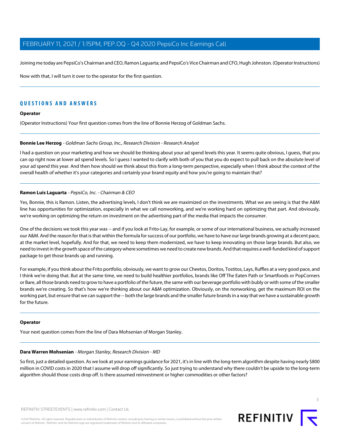Joining me today are PepsiCo's Chairman and CEO, Ramon Laguarta; and PepsiCo's Vice Chairman and CFO, Hugh Johnston. (Operator Instructions)

Now with that, I will turn it over to the operator for the first question.

# **QUESTIONS AND ANSWERS**

### **Operator**

<span id="page-2-1"></span>(Operator Instructions) Your first question comes from the line of Bonnie Herzog of Goldman Sachs.

### **Bonnie Lee Herzog** - Goldman Sachs Group, Inc., Research Division - Research Analyst

I had a question on your marketing and how we should be thinking about your ad spend levels this year. It seems quite obvious, I guess, that you can op right now at lower ad spend levels. So I guess I wanted to clarify with both of you that you do expect to pull back on the absolute level of your ad spend this year. And then how should we think about this from a long-term perspective, especially when I think about the context of the overall health of whether it's your categories and certainly your brand equity and how you're going to maintain that?

### <span id="page-2-0"></span>**Ramon Luis Laguarta** - PepsiCo, Inc. - Chairman & CEO

Yes, Bonnie, this is Ramon. Listen, the advertising levels, I don't think we are maximized on the investments. What we are seeing is that the A&M line has opportunities for optimization, especially in what we call nonworking, and we're working hard on optimizing that part. And obviously, we're working on optimizing the return on investment on the advertising part of the media that impacts the consumer.

One of the decisions we took this year was -- and if you look at Frito-Lay, for example, or some of our international business, we actually increased our A&M. And the reason for that is that within the formula for success of our portfolio, we have to have our large brands growing at a decent pace, at the market level, hopefully. And for that, we need to keep them modernized, we have to keep innovating on those large brands. But also, we need to invest in the growth space of the category where sometimes we need to create new brands. And that requires a well-funded kind of support package to get those brands up and running.

For example, if you think about the Frito portfolio, obviously, we want to grow our Cheetos, Doritos, Tostitos, Lays, Ruffles at a very good pace, and I think we're doing that. But at the same time, we need to build healthier portfolios, brands like Off The Eaten Path or Smartfoods or PopCorners or Bare, all those brands need to grow to have a portfolio of the future, the same with our beverage portfolio with bubly or with some of the smaller brands we're creating. So that's how we're thinking about our A&M optimization. Obviously, on the nonworking, get the maximum ROI on the working part, but ensure that we can support the -- both the large brands and the smaller future brands in a way that we have a sustainable growth for the future.

### <span id="page-2-2"></span>**Operator**

Your next question comes from the line of Dara Mohsenian of Morgan Stanley.

### **Dara Warren Mohsenian** - Morgan Stanley, Research Division - MD

So first, just a detailed question. As we look at your earnings guidance for 2021, it's in line with the long-term algorithm despite having nearly \$800 million in COVID costs in 2020 that I assume will drop off significantly. So just trying to understand why there couldn't be upside to the long-term algorithm should those costs drop off. Is there assumed reinvestment or higher commodities or other factors?

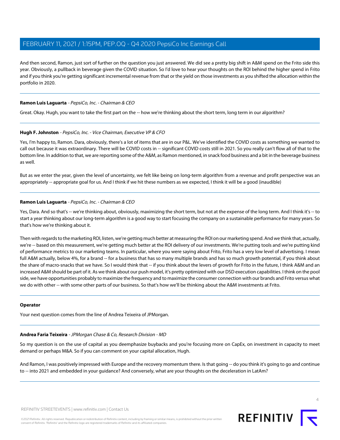And then second, Ramon, just sort of further on the question you just answered. We did see a pretty big shift in A&M spend on the Frito side this year. Obviously, a pullback in beverage given the COVID situation. So I'd love to hear your thoughts on the ROI behind the higher spend in Frito and if you think you're getting significant incremental revenue from that or the yield on those investments as you shifted the allocation within the portfolio in 2020.

# **Ramon Luis Laguarta** - PepsiCo, Inc. - Chairman & CEO

<span id="page-3-0"></span>Great. Okay. Hugh, you want to take the first part on the -- how we're thinking about the short term, long term in our algorithm?

### **Hugh F. Johnston** - PepsiCo, Inc. - Vice Chairman, Executive VP & CFO

Yes, I'm happy to, Ramon. Dara, obviously, there's a lot of items that are in our P&L. We've identified the COVID costs as something we wanted to call out because it was extraordinary. There will be COVID costs in -- significant COVID costs still in 2021. So you really can't flow all of that to the bottom line. In addition to that, we are reporting some of the A&M, as Ramon mentioned, in snack food business and a bit in the beverage business as well.

But as we enter the year, given the level of uncertainty, we felt like being on long-term algorithm from a revenue and profit perspective was an appropriately -- appropriate goal for us. And I think if we hit these numbers as we expected, I think it will be a good (inaudible)

### **Ramon Luis Laguarta** - PepsiCo, Inc. - Chairman & CEO

Yes, Dara. And so that's -- we're thinking about, obviously, maximizing the short term, but not at the expense of the long term. And I think it's -- to start a year thinking about our long-term algorithm is a good way to start focusing the company on a sustainable performance for many years. So that's how we're thinking about it.

Then with regards to the marketing ROI, listen, we're getting much better at measuring the ROI on our marketing spend. And we think that, actually, we're -- based on this measurement, we're getting much better at the ROI delivery of our investments. We're putting tools and we're putting kind of performance metrics to our marketing teams. In particular, where you were saying about Frito, Frito has a very low level of advertising. I mean full A&M actually, below 4%, for a brand -- for a business that has so many multiple brands and has so much growth potential, if you think about the share of macro-snacks that we have. So I would think that -- if you think about the levers of growth for Frito in the future, I think A&M and an increased A&M should be part of it. As we think about our push model, it's pretty optimized with our DSD execution capabilities. I think on the pool side, we have opportunities probably to maximize the frequency and to maximize the consumer connection with our brands and Frito versus what we do with other -- with some other parts of our business. So that's how we'll be thinking about the A&M investments at Frito.

### <span id="page-3-1"></span>**Operator**

Your next question comes from the line of Andrea Teixeira of JPMorgan.

# **Andrea Faria Teixeira** - JPMorgan Chase & Co, Research Division - MD

So my question is on the use of capital as you deemphasize buybacks and you're focusing more on CapEx, on investment in capacity to meet demand or perhaps M&A. So if you can comment on your capital allocation, Hugh.

And Ramon, I was positively impressed with Europe and the recovery momentum there. Is that going -- do you think it's going to go and continue to -- into 2021 and embedded in your guidance? And conversely, what are your thoughts on the deceleration in LatAm?

 $\Delta$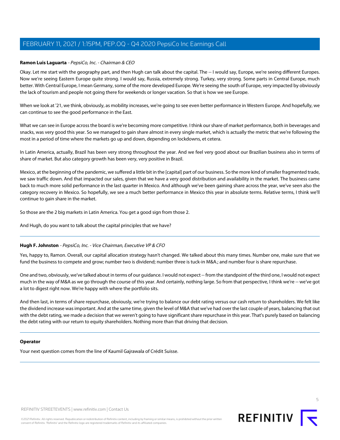# **Ramon Luis Laguarta** - PepsiCo, Inc. - Chairman & CEO

Okay. Let me start with the geography part, and then Hugh can talk about the capital. The -- I would say, Europe, we're seeing different Europes. Now we're seeing Eastern Europe quite strong. I would say, Russia, extremely strong. Turkey, very strong. Some parts in Central Europe, much better. With Central Europe, I mean Germany, some of the more developed Europe. We're seeing the south of Europe, very impacted by obviously the lack of tourism and people not going there for weekends or longer vacation. So that is how we see Europe.

When we look at '21, we think, obviously, as mobility increases, we're going to see even better performance in Western Europe. And hopefully, we can continue to see the good performance in the East.

What we can see in Europe across the board is we're becoming more competitive. I think our share of market performance, both in beverages and snacks, was very good this year. So we managed to gain share almost in every single market, which is actually the metric that we're following the most in a period of time where the markets go up and down, depending on lockdowns, et cetera.

In Latin America, actually, Brazil has been very strong throughout the year. And we feel very good about our Brazilian business also in terms of share of market. But also category growth has been very, very positive in Brazil.

Mexico, at the beginning of the pandemic, we suffered a little bit in the [capital] part of our business. So the more kind of smaller fragmented trade, we saw traffic down. And that impacted our sales, given that we have a very good distribution and availability in the market. The business came back to much more solid performance in the last quarter in Mexico. And although we've been gaining share across the year, we've seen also the category recovery in Mexico. So hopefully, we see a much better performance in Mexico this year in absolute terms. Relative terms, I think we'll continue to gain share in the market.

So those are the 2 big markets in Latin America. You get a good sign from those 2.

And Hugh, do you want to talk about the capital principles that we have?

# **Hugh F. Johnston** - PepsiCo, Inc. - Vice Chairman, Executive VP & CFO

Yes, happy to, Ramon. Overall, our capital allocation strategy hasn't changed. We talked about this many times. Number one, make sure that we fund the business to compete and grow; number two is dividend; number three is tuck-in M&A.; and number four is share repurchase.

One and two, obviously, we've talked about in terms of our guidance. I would not expect -- from the standpoint of the third one, I would not expect much in the way of M&A as we go through the course of this year. And certainly, nothing large. So from that perspective, I think we're -- we've got a lot to digest right now. We're happy with where the portfolio sits.

And then last, in terms of share repurchase, obviously, we're trying to balance our debt rating versus our cash return to shareholders. We felt like the dividend increase was important. And at the same time, given the level of M&A that we've had over the last couple of years, balancing that out with the debt rating, we made a decision that we weren't going to have significant share repurchase in this year. That's purely based on balancing the debt rating with our return to equity shareholders. Nothing more than that driving that decision.

# **Operator**

Your next question comes from the line of Kaumil Gajrawala of Crédit Suisse.

5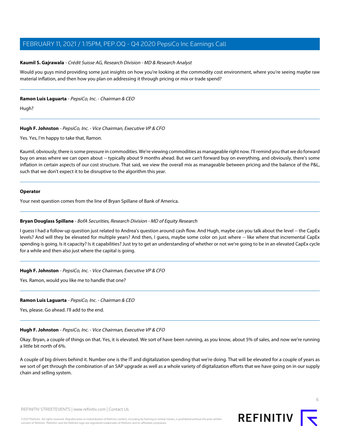### <span id="page-5-1"></span>**Kaumil S. Gajrawala** - Crédit Suisse AG, Research Division - MD & Research Analyst

Would you guys mind providing some just insights on how you're looking at the commodity cost environment, where you're seeing maybe raw material inflation, and then how you plan on addressing it through pricing or mix or trade spend?

### **Ramon Luis Laguarta** - PepsiCo, Inc. - Chairman & CEO

Hugh?

# **Hugh F. Johnston** - PepsiCo, Inc. - Vice Chairman, Executive VP & CFO

Yes. Yes, I'm happy to take that, Ramon.

Kaumil, obviously, there is some pressure in commodities. We're viewing commodities as manageable right now. I'll remind you that we do forward buy on areas where we can open about -- typically about 9 months ahead. But we can't forward buy on everything, and obviously, there's some inflation in certain aspects of our cost structure. That said, we view the overall mix as manageable between pricing and the balance of the P&L, such that we don't expect it to be disruptive to the algorithm this year.

### **Operator**

<span id="page-5-0"></span>Your next question comes from the line of Bryan Spillane of Bank of America.

### **Bryan Douglass Spillane** - BofA Securities, Research Division - MD of Equity Research

I guess I had a follow-up question just related to Andrea's question around cash flow. And Hugh, maybe can you talk about the level -- the CapEx levels? And will they be elevated for multiple years? And then, I guess, maybe some color on just where -- like where that incremental CapEx spending is going. Is it capacity? Is it capabilities? Just try to get an understanding of whether or not we're going to be in an elevated CapEx cycle for a while and then also just where the capital is going.

# **Hugh F. Johnston** - PepsiCo, Inc. - Vice Chairman, Executive VP & CFO

Yes. Ramon, would you like me to handle that one?

# **Ramon Luis Laguarta** - PepsiCo, Inc. - Chairman & CEO

Yes, please. Go ahead. I'll add to the end.

### **Hugh F. Johnston** - PepsiCo, Inc. - Vice Chairman, Executive VP & CFO

Okay. Bryan, a couple of things on that. Yes, it is elevated. We sort of have been running, as you know, about 5% of sales, and now we're running a little bit north of 6%.

A couple of big drivers behind it. Number one is the IT and digitalization spending that we're doing. That will be elevated for a couple of years as we sort of get through the combination of an SAP upgrade as well as a whole variety of digitalization efforts that we have going on in our supply chain and selling system.

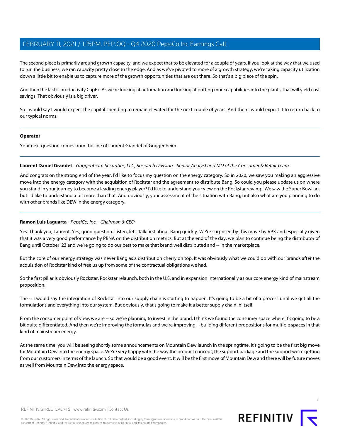The second piece is primarily around growth capacity, and we expect that to be elevated for a couple of years. If you look at the way that we used to run the business, we ran capacity pretty close to the edge. And as we've pivoted to more of a growth strategy, we're taking capacity utilization down a little bit to enable us to capture more of the growth opportunities that are out there. So that's a big piece of the spin.

And then the last is productivity CapEx. As we're looking at automation and looking at putting more capabilities into the plants, that will yield cost savings. That obviously is a big driver.

So I would say I would expect the capital spending to remain elevated for the next couple of years. And then I would expect it to return back to our typical norms.

### **Operator**

<span id="page-6-0"></span>Your next question comes from the line of Laurent Grandet of Guggenheim.

### **Laurent Daniel Grandet** - Guggenheim Securities, LLC, Research Division - Senior Analyst and MD of the Consumer & Retail Team

And congrats on the strong end of the year. I'd like to focus my question on the energy category. So in 2020, we saw you making an aggressive move into the energy category with the acquisition of Rockstar and the agreement to distribute Bang. So could you please update us on where you stand in your journey to become a leading energy player? I'd like to understand your view on the Rockstar revamp. We saw the Super Bowl ad, but I'd like to understand a bit more than that. And obviously, your assessment of the situation with Bang, but also what are you planning to do with other brands like DEW in the energy category.

# **Ramon Luis Laguarta** - PepsiCo, Inc. - Chairman & CEO

Yes. Thank you, Laurent. Yes, good question. Listen, let's talk first about Bang quickly. We're surprised by this move by VPX and especially given that it was a very good performance by PBNA on the distribution metrics. But at the end of the day, we plan to continue being the distributor of Bang until October '23 and we're going to do our best to make that brand well distributed and -- in the marketplace.

But the core of our energy strategy was never Bang as a distribution cherry on top. It was obviously what we could do with our brands after the acquisition of Rockstar kind of free us up from some of the contractual obligations we had.

So the first pillar is obviously Rockstar. Rockstar relaunch, both in the U.S. and in expansion internationally as our core energy kind of mainstream proposition.

The -- I would say the integration of Rockstar into our supply chain is starting to happen. It's going to be a bit of a process until we get all the formulations and everything into our system. But obviously, that's going to make it a better supply chain in itself.

From the consumer point of view, we are -- so we're planning to invest in the brand. I think we found the consumer space where it's going to be a bit quite differentiated. And then we're improving the formulas and we're improving -- building different propositions for multiple spaces in that kind of mainstream energy.

At the same time, you will be seeing shortly some announcements on Mountain Dew launch in the springtime. It's going to be the first big move for Mountain Dew into the energy space. We're very happy with the way the product concept, the support package and the support we're getting from our customers in terms of the launch. So that would be a good event. It will be the first move of Mountain Dew and there will be future moves as well from Mountain Dew into the energy space.



REFINITIV STREETEVENTS | [www.refinitiv.com](https://www.refinitiv.com/) | [Contact Us](https://www.refinitiv.com/en/contact-us)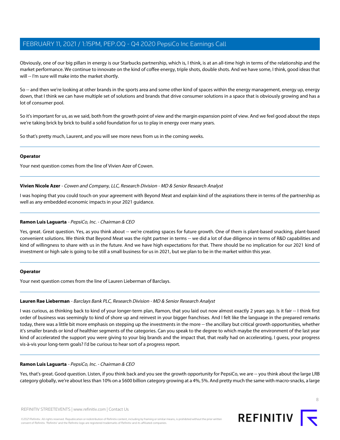Obviously, one of our big pillars in energy is our Starbucks partnership, which is, I think, is at an all-time high in terms of the relationship and the market performance. We continue to innovate on the kind of coffee energy, triple shots, double shots. And we have some, I think, good ideas that will -- I'm sure will make into the market shortly.

So -- and then we're looking at other brands in the sports area and some other kind of spaces within the energy management, energy up, energy down, that I think we can have multiple set of solutions and brands that drive consumer solutions in a space that is obviously growing and has a lot of consumer pool.

So it's important for us, as we said, both from the growth point of view and the margin expansion point of view. And we feel good about the steps we're taking brick by brick to build a solid foundation for us to play in energy over many years.

So that's pretty much, Laurent, and you will see more news from us in the coming weeks.

### **Operator**

<span id="page-7-1"></span>Your next question comes from the line of Vivien Azer of Cowen.

**Vivien Nicole Azer** - Cowen and Company, LLC, Research Division - MD & Senior Research Analyst

I was hoping that you could touch on your agreement with Beyond Meat and explain kind of the aspirations there in terms of the partnership as well as any embedded economic impacts in your 2021 guidance.

# **Ramon Luis Laguarta** - PepsiCo, Inc. - Chairman & CEO

Yes, great. Great question. Yes, as you think about -- we're creating spaces for future growth. One of them is plant-based snacking, plant-based convenient solutions. We think that Beyond Meat was the right partner in terms -- we did a lot of due diligence in terms of R&D capabilities and kind of willingness to share with us in the future. And we have high expectations for that. There should be no implication for our 2021 kind of investment or high sale is going to be still a small business for us in 2021, but we plan to be in the market within this year.

# <span id="page-7-0"></span>**Operator**

Your next question comes from the line of Lauren Lieberman of Barclays.

# **Lauren Rae Lieberman** - Barclays Bank PLC, Research Division - MD & Senior Research Analyst

I was curious, as thinking back to kind of your longer-term plan, Ramon, that you laid out now almost exactly 2 years ago. Is it fair -- I think first order of business was seemingly to kind of shore up and reinvest in your bigger franchises. And I felt like the language in the prepared remarks today, there was a little bit more emphasis on stepping up the investments in the more -- the ancillary but critical growth opportunities, whether it's smaller brands or kind of healthier segments of the categories. Can you speak to the degree to which maybe the environment of the last year kind of accelerated the support you were giving to your big brands and the impact that, that really had on accelerating, I guess, your progress vis-à-vis your long-term goals? I'd be curious to hear sort of a progress report.

# **Ramon Luis Laguarta** - PepsiCo, Inc. - Chairman & CEO

Yes, that's great. Good question. Listen, if you think back and you see the growth opportunity for PepsiCo, we are -- you think about the large LRB category globally, we're about less than 10% on a \$600 billion category growing at a 4%, 5%. And pretty much the same with macro-snacks, a large

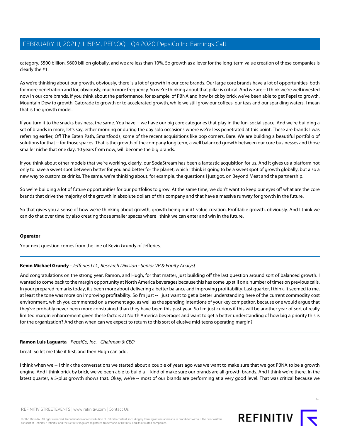category, \$500 billion, \$600 billion globally, and we are less than 10%. So growth as a lever for the long-term value creation of these companies is clearly the #1.

As we're thinking about our growth, obviously, there is a lot of growth in our core brands. Our large core brands have a lot of opportunities, both for more penetration and for, obviously, much more frequency. So we're thinking about that pillar is critical. And we are -- I think we're well invested now in our core brands. If you think about the performance, for example, of PBNA and how brick by brick we've been able to get Pepsi to growth, Mountain Dew to growth, Gatorade to growth or to accelerated growth, while we still grow our coffees, our teas and our sparkling waters, I mean that is the growth model.

If you turn it to the snacks business, the same. You have -- we have our big core categories that play in the fun, social space. And we're building a set of brands in more, let's say, either morning or during the day solo occasions where we're less penetrated at this point. These are brands I was referring earlier, Off The Eaten Path, Smartfoods, some of the recent acquisitions like pop corners, Bare. We are building a beautiful portfolio of solutions for that -- for those spaces. That is the growth of the company long term, a well balanced growth between our core businesses and those smaller niche that one day, 10 years from now, will become the big brands.

If you think about other models that we're working, clearly, our SodaStream has been a fantastic acquisition for us. And it gives us a platform not only to have a sweet spot between better for you and better for the planet, which I think is going to be a sweet spot of growth globally, but also a new way to customize drinks. The same, we're thinking about, for example, the questions I just got, on Beyond Meat and the partnership.

So we're building a lot of future opportunities for our portfolios to grow. At the same time, we don't want to keep our eyes off what are the core brands that drive the majority of the growth in absolute dollars of this company and that have a massive runway for growth in the future.

So that gives you a sense of how we're thinking about growth, growth being our #1 value creation. Profitable growth, obviously. And I think we can do that over time by also creating those smaller spaces where I think we can enter and win in the future.

### <span id="page-8-0"></span>**Operator**

Your next question comes from the line of Kevin Grundy of Jefferies.

# **Kevin Michael Grundy** - Jefferies LLC, Research Division - Senior VP & Equity Analyst

And congratulations on the strong year. Ramon, and Hugh, for that matter, just building off the last question around sort of balanced growth. I wanted to come back to the margin opportunity at North America beverages because this has come up still on a number of times on previous calls. In your prepared remarks today, it's been more about delivering a better balance and improving profitability. Last quarter, I think, it seemed to me, at least the tone was more on improving profitability. So I'm just -- I just want to get a better understanding here of the current commodity cost environment, which you commented on a moment ago, as well as the spending intentions of your key competitor, because one would argue that they've probably never been more constrained than they have been this past year. So I'm just curious if this will be another year of sort of really limited margin enhancement given these factors at North America beverages and want to get a better understanding of how big a priority this is for the organization? And then when can we expect to return to this sort of elusive mid-teens operating margin?

# **Ramon Luis Laguarta** - PepsiCo, Inc. - Chairman & CEO

Great. So let me take it first, and then Hugh can add.

I think when we -- I think the conversations we started about a couple of years ago was we want to make sure that we got PBNA to be a growth engine. And I think brick by brick, we've been able to build a -- kind of make sure our brands are all growth brands. And I think we're there. In the latest quarter, a 5-plus growth shows that. Okay, we're -- most of our brands are performing at a very good level. That was critical because we

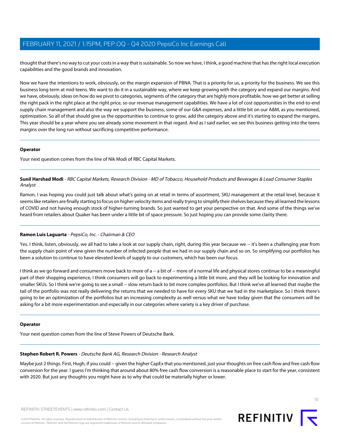thought that there's no way to cut your costs in a way that is sustainable. So now we have, I think, a good machine that has the right local execution capabilities and the good brands and innovation.

Now we have the intentions to work, obviously, on the margin expansion of PBNA. That is a priority for us, a priority for the business. We see this business long term at mid-teens. We want to do it in a sustainable way, where we keep growing with the category and expand our margins. And we have, obviously, ideas on how do we pivot to categories, segments of the category that are highly more profitable, how we get better at selling the right pack in the right place at the right price, so our revenue management capabilities. We have a lot of cost opportunities in the end-to-end supply chain management and also the way we support the business, some of our G&A expenses, and a little bit on our A&M, as you mentioned, optimization. So all of that should give us the opportunities to continue to grow, add the category above and it's starting to expand the margins. This year should be a year where you see already some movement in that regard. And as I said earlier, we see this business getting into the teens margins over the long run without sacrificing competitive performance.

# **Operator**

<span id="page-9-1"></span>Your next question comes from the line of Nik Modi of RBC Capital Markets.

# **Sunil Harshad Modi** - RBC Capital Markets, Research Division - MD of Tobacco, Household Products and Beverages & Lead Consumer Staples Analyst

Ramon, I was hoping you could just talk about what's going on at retail in terms of assortment, SKU management at the retail level, because it seems like retailers are finally starting to focus on higher velocity items and really trying to simplify their shelves because they all learned the lessons of COVID and not having enough stock of higher-turning brands. So just wanted to get your perspective on that. And some of the things we've heard from retailers about Quaker has been under a little bit of space pressure. So just hoping you can provide some clarity there.

# **Ramon Luis Laguarta** - PepsiCo, Inc. - Chairman & CEO

Yes. I think, listen, obviously, we all had to take a look at our supply chain, right, during this year because we -- it's been a challenging year from the supply chain point of view given the number of infected people that we had in our supply chain and so on. So simplifying our portfolios has been a solution to continue to have elevated levels of supply to our customers, which has been our focus.

I think as we go forward and consumers move back to more of a -- a bit of -- more of a normal life and physical stores continue to be a meaningful part of their shopping experience, I think consumers will go back to experimenting a little bit more, and they will be looking for innovation and smaller SKUs. So I think we're going to see a small -- slow return back to bit more complex portfolios. But I think we've all learned that maybe the tail of the portfolio was not really delivering the returns that we needed to have for every SKU that we had in the marketplace. So I think there's going to be an optimization of the portfolios but an increasing complexity as well versus what we have today given that the consumers will be asking for a bit more experimentation and especially in our categories where variety is a key driver of purchase.

# <span id="page-9-0"></span>**Operator**

Your next question comes from the line of Steve Powers of Deutsche Bank.

# **Stephen Robert R. Powers** - Deutsche Bank AG, Research Division - Research Analyst

Maybe just 2 things. First, Hugh, if you could -- given the higher CapEx that you mentioned, just your thoughts on free cash flow and free cash flow conversion for the year. I guess I'm thinking that around about 80% free cash flow conversion is a reasonable place to start for the year, consistent with 2020. But just any thoughts you might have as to why that could be materially higher or lower.

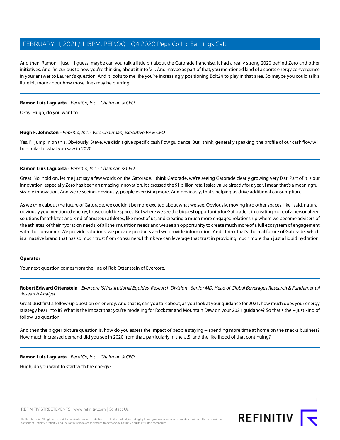And then, Ramon, I just -- I guess, maybe can you talk a little bit about the Gatorade franchise. It had a really strong 2020 behind Zero and other initiatives. And I'm curious to how you're thinking about it into '21. And maybe as part of that, you mentioned kind of a sports energy convergence in your answer to Laurent's question. And it looks to me like you're increasingly positioning Bolt24 to play in that area. So maybe you could talk a little bit more about how those lines may be blurring.

### **Ramon Luis Laguarta** - PepsiCo, Inc. - Chairman & CEO

Okay. Hugh, do you want to...

### **Hugh F. Johnston** - PepsiCo, Inc. - Vice Chairman, Executive VP & CFO

Yes. I'll jump in on this. Obviously, Steve, we didn't give specific cash flow guidance. But I think, generally speaking, the profile of our cash flow will be similar to what you saw in 2020.

### **Ramon Luis Laguarta** - PepsiCo, Inc. - Chairman & CEO

Great. No, hold on, let me just say a few words on the Gatorade. I think Gatorade, we're seeing Gatorade clearly growing very fast. Part of it is our innovation, especially Zero has been an amazing innovation. It's crossed the \$1 billion retail sales value already for a year. I mean that's a meaningful, sizable innovation. And we're seeing, obviously, people exercising more. And obviously, that's helping us drive additional consumption.

As we think about the future of Gatorade, we couldn't be more excited about what we see. Obviously, moving into other spaces, like I said, natural, obviously you mentioned energy, those could be spaces. But where we see the biggest opportunity for Gatorade is in creating more of a personalized solutions for athletes and kind of amateur athletes, like most of us, and creating a much more engaged relationship where we become advisers of the athletes, of their hydration needs, of all their nutrition needs and we see an opportunity to create much more of a full ecosystem of engagement with the consumer. We provide solutions, we provide products and we provide information. And I think that's the real future of Gatorade, which is a massive brand that has so much trust from consumers. I think we can leverage that trust in providing much more than just a liquid hydration.

### <span id="page-10-0"></span>**Operator**

Your next question comes from the line of Rob Ottenstein of Evercore.

**Robert Edward Ottenstein** - Evercore ISI Institutional Equities, Research Division - Senior MD, Head of Global Beverages Research & Fundamental Research Analyst

Great. Just first a follow-up question on energy. And that is, can you talk about, as you look at your guidance for 2021, how much does your energy strategy bear into it? What is the impact that you're modeling for Rockstar and Mountain Dew on your 2021 guidance? So that's the -- just kind of follow-up question.

And then the bigger picture question is, how do you assess the impact of people staying -- spending more time at home on the snacks business? How much increased demand did you see in 2020 from that, particularly in the U.S. and the likelihood of that continuing?

**Ramon Luis Laguarta** - PepsiCo, Inc. - Chairman & CEO

Hugh, do you want to start with the energy?

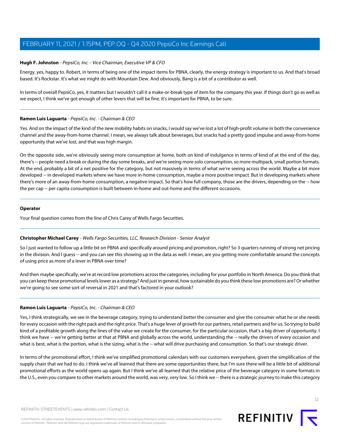# **Hugh F. Johnston** - PepsiCo, Inc. - Vice Chairman, Executive VP & CFO

Energy, yes, happy to. Robert, in terms of being one of the impact items for PBNA, clearly, the energy strategy is important to us. And that's broad based. It's Rockstar. It's what we might do with Mountain Dew. And obviously, Bang is a bit of a contributor as well.

In terms of overall PepsiCo, yes, it matters but I wouldn't call it a make-or-break type of item for the company this year. If things don't go as well as we expect, I think we've got enough of other levers that will be fine. It's important for PBNA, to be sure.

# **Ramon Luis Laguarta** - PepsiCo, Inc. - Chairman & CEO

Yes. And on the impact of the kind of the new mobility habits on snacks, I would say we've lost a lot of high-profit volume in both the convenience channel and the away-from-home channel. I mean, we always talk about beverages, but snacks had a pretty good impulse and away-from-home opportunity that we've lost, and that was high margin.

On the opposite side, we're obviously seeing more consumption at home, both on kind of indulgence in terms of kind of at the end of the day, there's -- people need a break or during the day some breaks, and we're seeing more solo consumption, so more multipack, small portion formats. At the end, probably a bit of a net positive for the category, but not massively in terms of what we're seeing across the world. Maybe a bit more developed -- in developed markets where we have more in-home consumption, maybe a more positive impact. But in developing markets where there's more of an away-from-home consumption, a negative impact. So that's how full company, those are the drivers, depending on the -- how the per cap -- per capita consumption is built between in-home and out-home and the different occasions.

### **Operator**

<span id="page-11-0"></span>Your final question comes from the line of Chris Carey of Wells Fargo Securities.

### **Christopher Michael Carey** - Wells Fargo Securities, LLC, Research Division - Senior Analyst

So I just wanted to follow up a little bit on PBNA and specifically around pricing and promotion, right? So 3 quarters running of strong net pricing in the division. And I guess -- and you can see this showing up in the data as well. I mean, are you getting more comfortable around the concepts of using price as more of a lever in PBNA over time?

And then maybe specifically, we're at record low promotions across the categories, including for your portfolio in North America. Do you think that you can keep these promotional levels lower as a strategy? And just in general, how sustainable do you think these low promotions are? Or whether we're going to see some sort of reversal in 2021 and that's factored in your outlook?

### **Ramon Luis Laguarta** - PepsiCo, Inc. - Chairman & CEO

Yes, I think strategically, we see in the beverage category, trying to understand better the consumer and give the consumer what he or she needs for every occasion with the right pack and the right price. That's a huge lever of growth for our partners, retail partners and for us. So trying to build kind of a profitable growth along the lines of the value we create for the consumer, for the particular occasion, that's a big driver of opportunity. I think we have -- we're getting better at that at PBNA and globally across the world, understanding the -- really the drivers of every occasion and what is best, what is the portion, what is the sizing, what is the -- what will drive purchasing and consumption. So that's our strategic driver.

In terms of the promotional effort, I think we've simplified promotional calendars with our customers everywhere, given the simplification of the supply chain that we had to do. I think we've all learned that there are some opportunities there, but I'm sure there will be a little bit of additional promotional efforts as the world opens up again. But I think we've all learned that the relative price of the beverage category in some formats in the U.S., even you compare to other markets around the world, was very, very low. So I think we -- there is a strategic journey to make this category